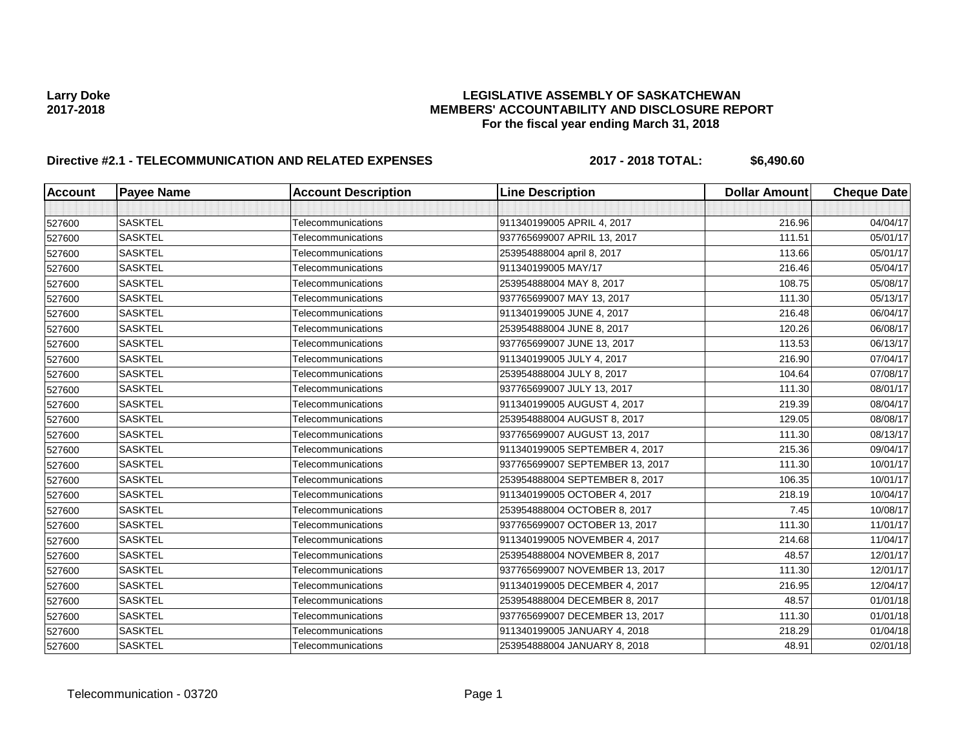# **Larry Doke LEGISLATIVE ASSEMBLY OF SASKATCHEWAN 2017-2018 MEMBERS' ACCOUNTABILITY AND DISCLOSURE REPORT For the fiscal year ending March 31, 2018**

# **Directive #2.1 - TELECOMMUNICATION AND RELATED EXPENSES 2017 - 2018 TOTAL: \$6,490.60**

| <b>Account</b> | <b>Payee Name</b> | <b>Account Description</b> | <b>Line Description</b>         | <b>Dollar Amount</b> | <b>Cheque Date</b> |
|----------------|-------------------|----------------------------|---------------------------------|----------------------|--------------------|
|                |                   |                            |                                 |                      |                    |
| 527600         | <b>SASKTEL</b>    | Telecommunications         | 911340199005 APRIL 4, 2017      | 216.96               | 04/04/17           |
| 527600         | <b>SASKTEL</b>    | Telecommunications         | 937765699007 APRIL 13, 2017     | 111.51               | 05/01/17           |
| 527600         | <b>SASKTEL</b>    | Telecommunications         | 253954888004 april 8, 2017      | 113.66               | 05/01/17           |
| 527600         | <b>SASKTEL</b>    | Telecommunications         | 911340199005 MAY/17             | 216.46               | 05/04/17           |
| 527600         | <b>SASKTEL</b>    | Telecommunications         | 253954888004 MAY 8, 2017        | 108.75               | 05/08/17           |
| 527600         | <b>SASKTEL</b>    | Telecommunications         | 937765699007 MAY 13, 2017       | 111.30               | 05/13/17           |
| 527600         | <b>SASKTEL</b>    | Telecommunications         | 911340199005 JUNE 4, 2017       | 216.48               | 06/04/17           |
| 527600         | <b>SASKTEL</b>    | Telecommunications         | 253954888004 JUNE 8, 2017       | 120.26               | 06/08/17           |
| 527600         | <b>SASKTEL</b>    | Telecommunications         | 937765699007 JUNE 13, 2017      | 113.53               | 06/13/17           |
| 527600         | <b>SASKTEL</b>    | Telecommunications         | 911340199005 JULY 4, 2017       | 216.90               | 07/04/17           |
| 527600         | <b>SASKTEL</b>    | Telecommunications         | 253954888004 JULY 8, 2017       | 104.64               | 07/08/17           |
| 527600         | <b>SASKTEL</b>    | Telecommunications         | 937765699007 JULY 13, 2017      | 111.30               | 08/01/17           |
| 527600         | <b>SASKTEL</b>    | Telecommunications         | 911340199005 AUGUST 4, 2017     | 219.39               | 08/04/17           |
| 527600         | <b>SASKTEL</b>    | Telecommunications         | 253954888004 AUGUST 8, 2017     | 129.05               | 08/08/17           |
| 527600         | <b>SASKTEL</b>    | Telecommunications         | 937765699007 AUGUST 13, 2017    | 111.30               | 08/13/17           |
| 527600         | <b>SASKTEL</b>    | Telecommunications         | 911340199005 SEPTEMBER 4, 2017  | 215.36               | 09/04/17           |
| 527600         | <b>SASKTEL</b>    | Telecommunications         | 937765699007 SEPTEMBER 13, 2017 | 111.30               | 10/01/17           |
| 527600         | <b>SASKTEL</b>    | Telecommunications         | 253954888004 SEPTEMBER 8, 2017  | 106.35               | 10/01/17           |
| 527600         | <b>SASKTEL</b>    | Telecommunications         | 911340199005 OCTOBER 4, 2017    | 218.19               | 10/04/17           |
| 527600         | <b>SASKTEL</b>    | Telecommunications         | 253954888004 OCTOBER 8, 2017    | 7.45                 | 10/08/17           |
| 527600         | <b>SASKTEL</b>    | Telecommunications         | 937765699007 OCTOBER 13, 2017   | 111.30               | 11/01/17           |
| 527600         | <b>SASKTEL</b>    | Telecommunications         | 911340199005 NOVEMBER 4, 2017   | 214.68               | 11/04/17           |
| 527600         | <b>SASKTEL</b>    | Telecommunications         | 253954888004 NOVEMBER 8, 2017   | 48.57                | 12/01/17           |
| 527600         | <b>SASKTEL</b>    | Telecommunications         | 937765699007 NOVEMBER 13, 2017  | 111.30               | 12/01/17           |
| 527600         | <b>SASKTEL</b>    | Telecommunications         | 911340199005 DECEMBER 4, 2017   | 216.95               | 12/04/17           |
| 527600         | <b>SASKTEL</b>    | Telecommunications         | 253954888004 DECEMBER 8, 2017   | 48.57                | 01/01/18           |
| 527600         | <b>SASKTEL</b>    | Telecommunications         | 937765699007 DECEMBER 13, 2017  | 111.30               | 01/01/18           |
| 527600         | <b>SASKTEL</b>    | Telecommunications         | 911340199005 JANUARY 4, 2018    | 218.29               | 01/04/18           |
| 527600         | <b>SASKTEL</b>    | Telecommunications         | 253954888004 JANUARY 8, 2018    | 48.91                | 02/01/18           |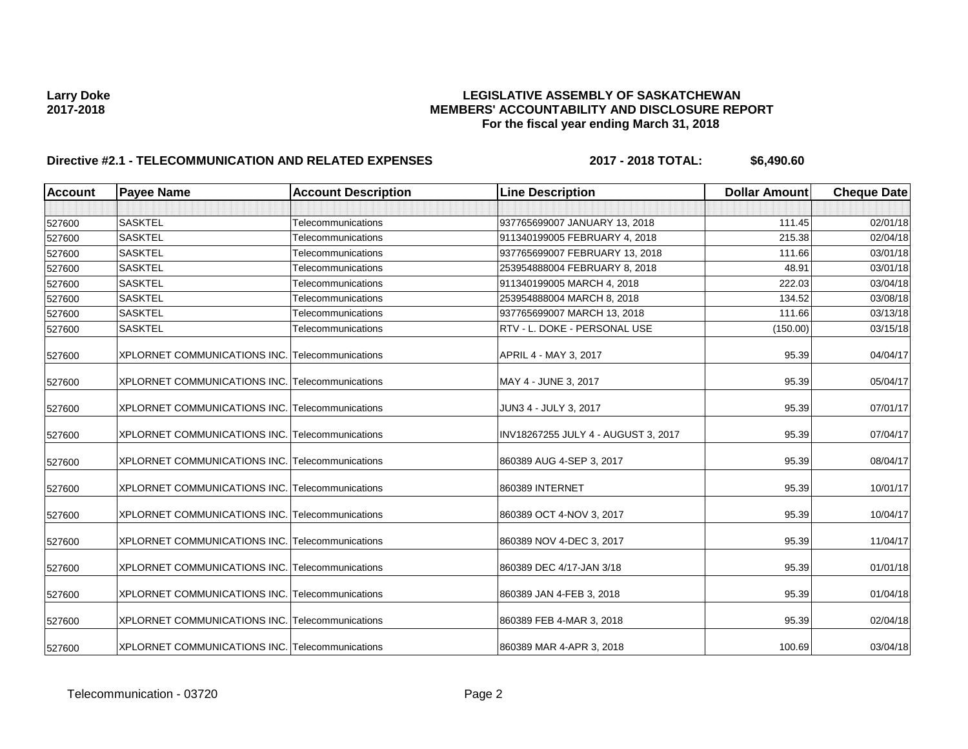# **Larry Doke LEGISLATIVE ASSEMBLY OF SASKATCHEWAN 2017-2018 MEMBERS' ACCOUNTABILITY AND DISCLOSURE REPORT For the fiscal year ending March 31, 2018**

# **Directive #2.1 - TELECOMMUNICATION AND RELATED EXPENSES 2017 - 2018 TOTAL: \$6,490.60**

| <b>Account</b> | <b>Payee Name</b>                                      | <b>Account Description</b> | <b>Line Description</b>             | <b>Dollar Amount</b> | <b>Cheque Date</b> |
|----------------|--------------------------------------------------------|----------------------------|-------------------------------------|----------------------|--------------------|
|                |                                                        |                            |                                     |                      |                    |
| 527600         | <b>SASKTEL</b>                                         | Telecommunications         | 937765699007 JANUARY 13, 2018       | 111.45               | 02/01/18           |
| 527600         | <b>SASKTEL</b>                                         | Telecommunications         | 911340199005 FEBRUARY 4, 2018       | 215.38               | 02/04/18           |
| 527600         | <b>SASKTEL</b>                                         | Telecommunications         | 937765699007 FEBRUARY 13, 2018      | 111.66               | 03/01/18           |
| 527600         | <b>SASKTEL</b>                                         | Telecommunications         | 253954888004 FEBRUARY 8, 2018       | 48.91                | 03/01/18           |
| 527600         | <b>SASKTEL</b>                                         | Telecommunications         | 911340199005 MARCH 4, 2018          | 222.03               | 03/04/18           |
| 527600         | <b>SASKTEL</b>                                         | Telecommunications         | 253954888004 MARCH 8, 2018          | 134.52               | 03/08/18           |
| 527600         | <b>SASKTEL</b>                                         | Telecommunications         | 937765699007 MARCH 13, 2018         | 111.66               | 03/13/18           |
| 527600         | <b>SASKTEL</b>                                         | Telecommunications         | RTV - L. DOKE - PERSONAL USE        | (150.00)             | 03/15/18           |
| 527600         | XPLORNET COMMUNICATIONS INC. Telecommunications        |                            | APRIL 4 - MAY 3, 2017               | 95.39                | 04/04/17           |
| 527600         | XPLORNET COMMUNICATIONS INC. Telecommunications        |                            | MAY 4 - JUNE 3, 2017                | 95.39                | 05/04/17           |
| 527600         | XPLORNET COMMUNICATIONS INC. Telecommunications        |                            | JUN3 4 - JULY 3, 2017               | 95.39                | 07/01/17           |
| 527600         | XPLORNET COMMUNICATIONS INC. Telecommunications        |                            | INV18267255 JULY 4 - AUGUST 3, 2017 | 95.39                | 07/04/17           |
| 527600         | XPLORNET COMMUNICATIONS INC. Telecommunications        |                            | 860389 AUG 4-SEP 3, 2017            | 95.39                | 08/04/17           |
| 527600         | <b>XPLORNET COMMUNICATIONS INC. Telecommunications</b> |                            | 860389 INTERNET                     | 95.39                | 10/01/17           |
| 527600         | XPLORNET COMMUNICATIONS INC. Telecommunications        |                            | 860389 OCT 4-NOV 3, 2017            | 95.39                | 10/04/17           |
| 527600         | XPLORNET COMMUNICATIONS INC. Telecommunications        |                            | 860389 NOV 4-DEC 3, 2017            | 95.39                | 11/04/17           |
| 527600         | XPLORNET COMMUNICATIONS INC. Telecommunications        |                            | 860389 DEC 4/17-JAN 3/18            | 95.39                | 01/01/18           |
| 527600         | XPLORNET COMMUNICATIONS INC. Telecommunications        |                            | 860389 JAN 4-FEB 3, 2018            | 95.39                | 01/04/18           |
| 527600         | <b>XPLORNET COMMUNICATIONS INC. Telecommunications</b> |                            | 860389 FEB 4-MAR 3, 2018            | 95.39                | 02/04/18           |
| 527600         | XPLORNET COMMUNICATIONS INC. Telecommunications        |                            | 860389 MAR 4-APR 3, 2018            | 100.69               | 03/04/18           |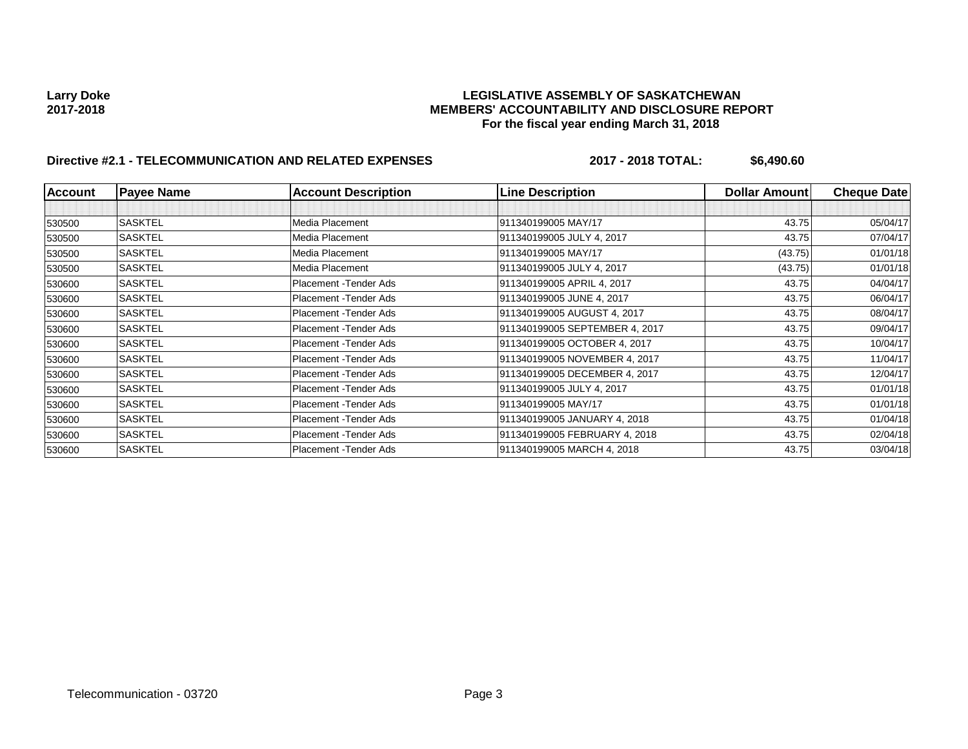# **Larry Doke LEGISLATIVE ASSEMBLY OF SASKATCHEWAN 2017-2018 MEMBERS' ACCOUNTABILITY AND DISCLOSURE REPORT For the fiscal year ending March 31, 2018**

# **Directive #2.1 - TELECOMMUNICATION AND RELATED EXPENSES 2017 - 2018 TOTAL: \$6,490.60**

| <b>Account</b> | <b>Payee Name</b> | <b>Account Description</b> | <b>Line Description</b>        | Dollar Amount | <b>Cheque Date</b> |
|----------------|-------------------|----------------------------|--------------------------------|---------------|--------------------|
|                |                   |                            |                                |               |                    |
| 530500         | <b>SASKTEL</b>    | Media Placement            | 911340199005 MAY/17            | 43.75         | 05/04/17           |
| 530500         | <b>SASKTEL</b>    | Media Placement            | 911340199005 JULY 4, 2017      | 43.75         | 07/04/17           |
| 530500         | <b>SASKTEL</b>    | Media Placement            | 911340199005 MAY/17            | (43.75)       | 01/01/18           |
| 530500         | <b>SASKTEL</b>    | Media Placement            | 911340199005 JULY 4, 2017      | (43.75)       | 01/01/18           |
| 530600         | <b>SASKTEL</b>    | Placement - Tender Ads     | 911340199005 APRIL 4, 2017     | 43.75         | 04/04/17           |
| 530600         | <b>SASKTEL</b>    | Placement - Tender Ads     | 911340199005 JUNE 4, 2017      | 43.75         | 06/04/17           |
| 530600         | <b>SASKTEL</b>    | Placement - Tender Ads     | 911340199005 AUGUST 4, 2017    | 43.75         | 08/04/17           |
| 530600         | <b>SASKTEL</b>    | Placement - Tender Ads     | 911340199005 SEPTEMBER 4, 2017 | 43.75         | 09/04/17           |
| 530600         | <b>SASKTEL</b>    | Placement - Tender Ads     | 911340199005 OCTOBER 4, 2017   | 43.75         | 10/04/17           |
| 530600         | <b>SASKTEL</b>    | Placement - Tender Ads     | 911340199005 NOVEMBER 4, 2017  | 43.75         | 11/04/17           |
| 530600         | <b>SASKTEL</b>    | Placement - Tender Ads     | 911340199005 DECEMBER 4, 2017  | 43.75         | 12/04/17           |
| 530600         | <b>SASKTEL</b>    | Placement - Tender Ads     | 911340199005 JULY 4, 2017      | 43.75         | 01/01/18           |
| 530600         | <b>SASKTEL</b>    | Placement - Tender Ads     | 911340199005 MAY/17            | 43.75         | 01/01/18           |
| 530600         | <b>SASKTEL</b>    | Placement - Tender Ads     | 911340199005 JANUARY 4, 2018   | 43.75         | 01/04/18           |
| 530600         | <b>SASKTEL</b>    | Placement - Tender Ads     | 911340199005 FEBRUARY 4, 2018  | 43.75         | 02/04/18           |
| 530600         | <b>SASKTEL</b>    | Placement - Tender Ads     | 911340199005 MARCH 4, 2018     | 43.75         | 03/04/18           |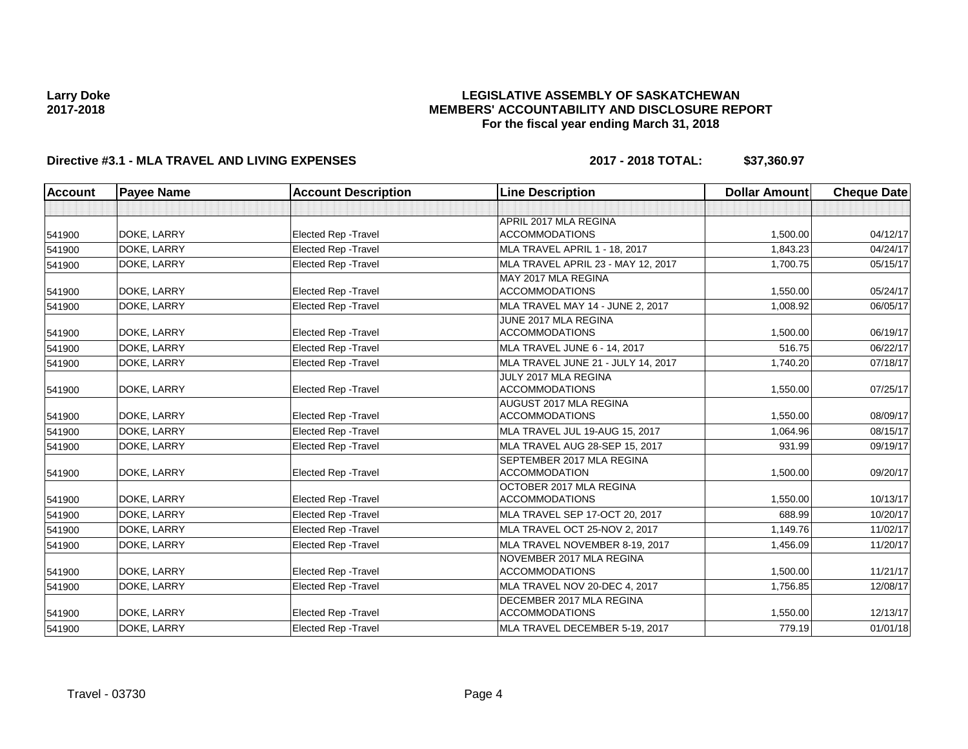### **LEGISLATIVE ASSEMBLY OF SASKATCHEWAN MEMBERS' ACCOUNTABILITY AND DISCLOSURE REPORT For the fiscal year ending March 31, 2018**

### **Directive #3.1 - MLA TRAVEL AND LIVING EXPENSES 2017 - 2018 TOTAL: \$37,360.97**

| <b>Account</b> | <b>Payee Name</b> | <b>Account Description</b>  | <b>Line Description</b>            | <b>Dollar Amount</b> | <b>Cheque Date</b> |
|----------------|-------------------|-----------------------------|------------------------------------|----------------------|--------------------|
|                |                   |                             |                                    |                      |                    |
|                |                   |                             | APRIL 2017 MLA REGINA              |                      |                    |
| 541900         | DOKE, LARRY       | <b>Elected Rep - Travel</b> | <b>ACCOMMODATIONS</b>              | 1,500.00             | 04/12/17           |
| 541900         | DOKE, LARRY       | <b>Elected Rep - Travel</b> | MLA TRAVEL APRIL 1 - 18, 2017      | 1.843.23             | 04/24/17           |
| 541900         | DOKE, LARRY       | <b>Elected Rep - Travel</b> | MLA TRAVEL APRIL 23 - MAY 12, 2017 | 1,700.75             | 05/15/17           |
|                |                   |                             | MAY 2017 MLA REGINA                |                      |                    |
| 541900         | DOKE, LARRY       | <b>Elected Rep - Travel</b> | <b>ACCOMMODATIONS</b>              | 1,550.00             | 05/24/17           |
| 541900         | DOKE, LARRY       | <b>Elected Rep - Travel</b> | MLA TRAVEL MAY 14 - JUNE 2, 2017   | 1,008.92             | 06/05/17           |
|                |                   |                             | JUNE 2017 MLA REGINA               |                      |                    |
| 541900         | DOKE, LARRY       | <b>Elected Rep - Travel</b> | <b>ACCOMMODATIONS</b>              | 1,500.00             | 06/19/17           |
| 541900         | DOKE, LARRY       | <b>Elected Rep - Travel</b> | MLA TRAVEL JUNE 6 - 14, 2017       | 516.75               | 06/22/17           |
| 541900         | DOKE, LARRY       | Elected Rep - Travel        | MLA TRAVEL JUNE 21 - JULY 14, 2017 | 1,740.20             | 07/18/17           |
|                |                   |                             | JULY 2017 MLA REGINA               |                      |                    |
| 541900         | DOKE, LARRY       | <b>Elected Rep - Travel</b> | <b>ACCOMMODATIONS</b>              | 1,550.00             | 07/25/17           |
|                |                   |                             | AUGUST 2017 MLA REGINA             |                      |                    |
| 541900         | DOKE, LARRY       | <b>Elected Rep - Travel</b> | <b>ACCOMMODATIONS</b>              | 1.550.00             | 08/09/17           |
| 541900         | DOKE, LARRY       | <b>Elected Rep - Travel</b> | MLA TRAVEL JUL 19-AUG 15, 2017     | 1,064.96             | 08/15/17           |
| 541900         | DOKE, LARRY       | <b>Elected Rep - Travel</b> | MLA TRAVEL AUG 28-SEP 15, 2017     | 931.99               | 09/19/17           |
|                |                   |                             | SEPTEMBER 2017 MLA REGINA          |                      |                    |
| 541900         | DOKE, LARRY       | <b>Elected Rep - Travel</b> | <b>ACCOMMODATION</b>               | 1,500.00             | 09/20/17           |
|                |                   |                             | OCTOBER 2017 MLA REGINA            |                      |                    |
| 541900         | DOKE, LARRY       | <b>Elected Rep - Travel</b> | <b>ACCOMMODATIONS</b>              | 1.550.00             | 10/13/17           |
| 541900         | DOKE, LARRY       | <b>Elected Rep - Travel</b> | MLA TRAVEL SEP 17-OCT 20, 2017     | 688.99               | 10/20/17           |
| 541900         | DOKE, LARRY       | <b>Elected Rep - Travel</b> | MLA TRAVEL OCT 25-NOV 2, 2017      | 1.149.76             | 11/02/17           |
| 541900         | DOKE, LARRY       | <b>Elected Rep - Travel</b> | MLA TRAVEL NOVEMBER 8-19, 2017     | 1,456.09             | 11/20/17           |
|                |                   |                             | NOVEMBER 2017 MLA REGINA           |                      |                    |
| 541900         | DOKE, LARRY       | <b>Elected Rep - Travel</b> | <b>ACCOMMODATIONS</b>              | 1,500.00             | 11/21/17           |
| 541900         | DOKE, LARRY       | <b>Elected Rep - Travel</b> | MLA TRAVEL NOV 20-DEC 4, 2017      | 1,756.85             | 12/08/17           |
|                |                   |                             | DECEMBER 2017 MLA REGINA           |                      |                    |
| 541900         | DOKE, LARRY       | <b>Elected Rep - Travel</b> | <b>ACCOMMODATIONS</b>              | 1,550.00             | 12/13/17           |
| 541900         | DOKE, LARRY       | Elected Rep - Travel        | MLA TRAVEL DECEMBER 5-19, 2017     | 779.19               | 01/01/18           |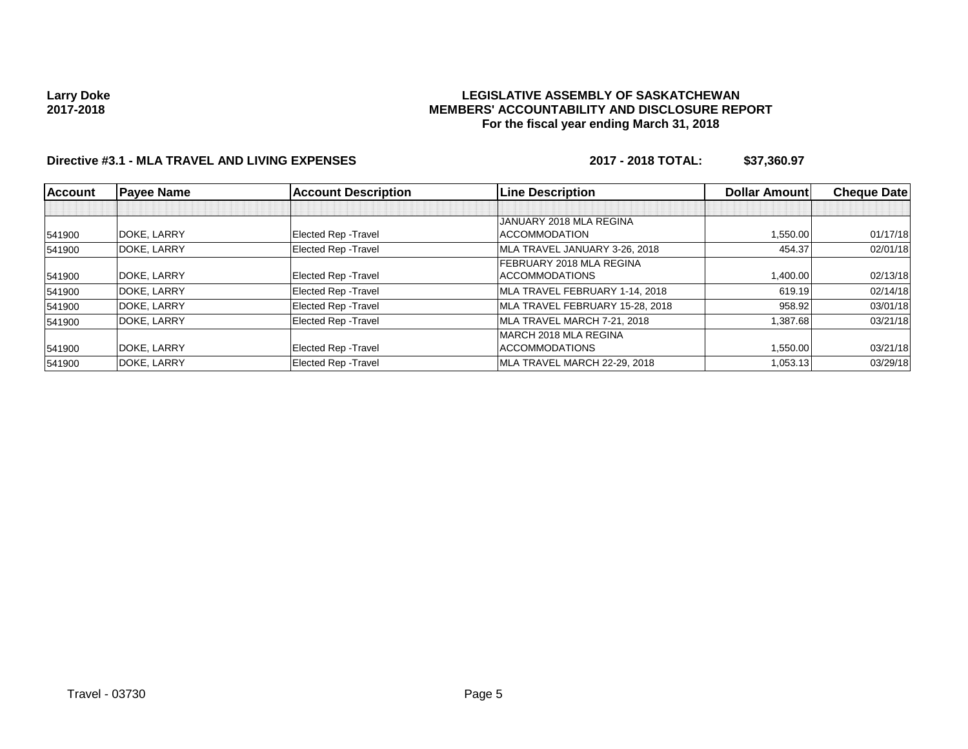#### **LEGISLATIVE ASSEMBLY OF SASKATCHEWAN MEMBERS' ACCOUNTABILITY AND DISCLOSURE REPORT For the fiscal year ending March 31, 2018**

### **Directive #3.1 - MLA TRAVEL AND LIVING EXPENSES 2017 - 2018 TOTAL: \$37,360.97**

| <b>Account</b> | <b>Payee Name</b> | <b>Account Description</b>  | <b>Line Description</b>         | <b>Dollar Amountl</b> | <b>Cheque Date</b> |
|----------------|-------------------|-----------------------------|---------------------------------|-----------------------|--------------------|
|                |                   |                             |                                 |                       |                    |
|                |                   |                             | JANUARY 2018 MLA REGINA         |                       |                    |
| 541900         | DOKE, LARRY       | <b>Elected Rep - Travel</b> | <b>ACCOMMODATION</b>            | 1.550.00              | 01/17/18           |
| 541900         | DOKE, LARRY       | Elected Rep - Travel        | MLA TRAVEL JANUARY 3-26, 2018   | 454.37                | 02/01/18           |
|                |                   |                             | <b>FEBRUARY 2018 MLA REGINA</b> |                       |                    |
| 541900         | DOKE, LARRY       | <b>Elected Rep - Travel</b> | <b>ACCOMMODATIONS</b>           | 1,400.00              | 02/13/18           |
| 541900         | DOKE, LARRY       | Elected Rep - Travel        | MLA TRAVEL FEBRUARY 1-14, 2018  | 619.19                | 02/14/18           |
| 541900         | DOKE, LARRY       | Elected Rep - Travel        | MLA TRAVEL FEBRUARY 15-28, 2018 | 958.92                | 03/01/18           |
| 541900         | DOKE, LARRY       | Elected Rep - Travel        | MLA TRAVEL MARCH 7-21, 2018     | 1,387.68              | 03/21/18           |
|                |                   |                             | IMARCH 2018 MLA REGINA          |                       |                    |
| 541900         | DOKE, LARRY       | <b>Elected Rep - Travel</b> | <b>ACCOMMODATIONS</b>           | 1,550.00              | 03/21/18           |
| 541900         | DOKE, LARRY       | Elected Rep - Travel        | MLA TRAVEL MARCH 22-29, 2018    | 1,053.13              | 03/29/18           |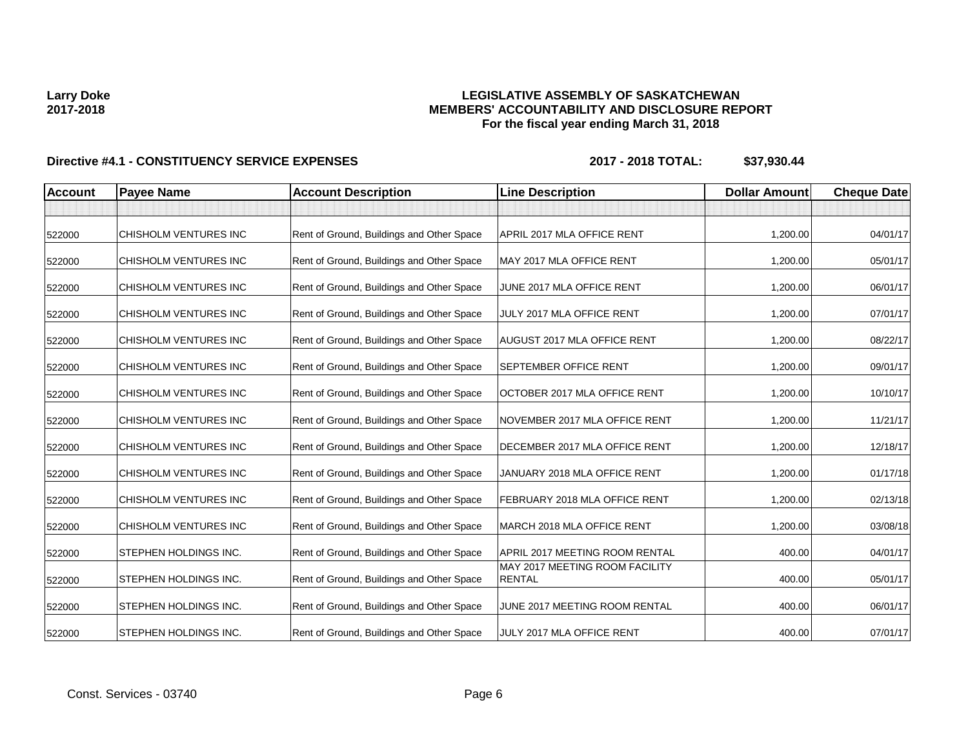### **LEGISLATIVE ASSEMBLY OF SASKATCHEWAN MEMBERS' ACCOUNTABILITY AND DISCLOSURE REPORT For the fiscal year ending March 31, 2018**

| <b>Account</b> | <b>Payee Name</b>     | <b>Account Description</b>                | <b>Line Description</b>                         | <b>Dollar Amount</b> | <b>Cheque Date</b> |
|----------------|-----------------------|-------------------------------------------|-------------------------------------------------|----------------------|--------------------|
|                |                       |                                           |                                                 |                      |                    |
| 522000         | CHISHOLM VENTURES INC | Rent of Ground, Buildings and Other Space | APRIL 2017 MLA OFFICE RENT                      | 1,200.00             | 04/01/17           |
| 522000         | CHISHOLM VENTURES INC | Rent of Ground, Buildings and Other Space | MAY 2017 MLA OFFICE RENT                        | 1,200.00             | 05/01/17           |
| 522000         | CHISHOLM VENTURES INC | Rent of Ground, Buildings and Other Space | JUNE 2017 MLA OFFICE RENT                       | 1,200.00             | 06/01/17           |
| 522000         | CHISHOLM VENTURES INC | Rent of Ground, Buildings and Other Space | JULY 2017 MLA OFFICE RENT                       | 1,200.00             | 07/01/17           |
| 522000         | CHISHOLM VENTURES INC | Rent of Ground, Buildings and Other Space | <b>AUGUST 2017 MLA OFFICE RENT</b>              | 1,200.00             | 08/22/17           |
| 522000         | CHISHOLM VENTURES INC | Rent of Ground, Buildings and Other Space | <b>SEPTEMBER OFFICE RENT</b>                    | 1,200.00             | 09/01/17           |
| 522000         | CHISHOLM VENTURES INC | Rent of Ground, Buildings and Other Space | OCTOBER 2017 MLA OFFICE RENT                    | 1,200.00             | 10/10/17           |
| 522000         | CHISHOLM VENTURES INC | Rent of Ground, Buildings and Other Space | NOVEMBER 2017 MLA OFFICE RENT                   | 1,200.00             | 11/21/17           |
| 522000         | CHISHOLM VENTURES INC | Rent of Ground, Buildings and Other Space | DECEMBER 2017 MLA OFFICE RENT                   | 1,200.00             | 12/18/17           |
| 522000         | CHISHOLM VENTURES INC | Rent of Ground, Buildings and Other Space | JANUARY 2018 MLA OFFICE RENT                    | 1,200.00             | 01/17/18           |
| 522000         | CHISHOLM VENTURES INC | Rent of Ground, Buildings and Other Space | FEBRUARY 2018 MLA OFFICE RENT                   | 1,200.00             | 02/13/18           |
| 522000         | CHISHOLM VENTURES INC | Rent of Ground, Buildings and Other Space | MARCH 2018 MLA OFFICE RENT                      | 1,200.00             | 03/08/18           |
| 522000         | STEPHEN HOLDINGS INC. | Rent of Ground, Buildings and Other Space | APRIL 2017 MEETING ROOM RENTAL                  | 400.00               | 04/01/17           |
| 522000         | STEPHEN HOLDINGS INC. | Rent of Ground, Buildings and Other Space | MAY 2017 MEETING ROOM FACILITY<br><b>RENTAL</b> | 400.00               | 05/01/17           |
| 522000         | STEPHEN HOLDINGS INC. | Rent of Ground, Buildings and Other Space | JUNE 2017 MEETING ROOM RENTAL                   | 400.00               | 06/01/17           |
| 522000         | STEPHEN HOLDINGS INC. | Rent of Ground, Buildings and Other Space | JULY 2017 MLA OFFICE RENT                       | 400.00               | 07/01/17           |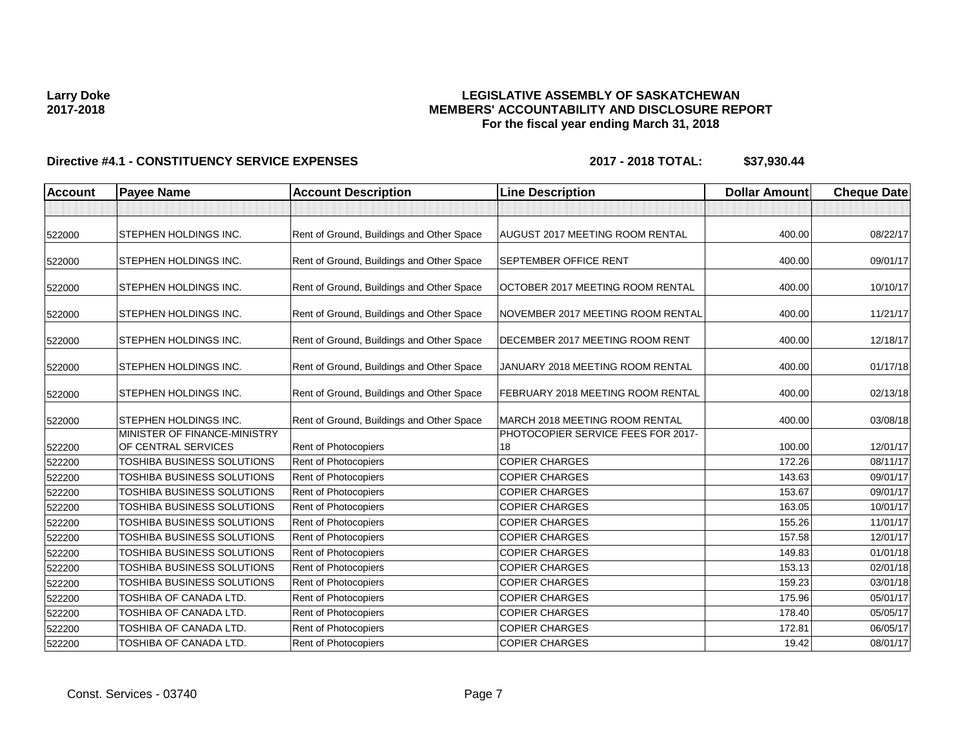### **LEGISLATIVE ASSEMBLY OF SASKATCHEWAN MEMBERS' ACCOUNTABILITY AND DISCLOSURE REPORT For the fiscal year ending March 31, 2018**

| <b>Account</b> | <b>Payee Name</b>                                   | <b>Account Description</b>                | <b>Line Description</b>                  | <b>Dollar Amount</b> | <b>Cheque Date</b> |
|----------------|-----------------------------------------------------|-------------------------------------------|------------------------------------------|----------------------|--------------------|
|                |                                                     |                                           |                                          |                      |                    |
| 522000         | <b>STEPHEN HOLDINGS INC.</b>                        | Rent of Ground, Buildings and Other Space | <b>AUGUST 2017 MEETING ROOM RENTAL</b>   | 400.00               | 08/22/17           |
| 522000         | <b>STEPHEN HOLDINGS INC.</b>                        | Rent of Ground, Buildings and Other Space | <b>SEPTEMBER OFFICE RENT</b>             | 400.00               | 09/01/17           |
| 522000         | <b>STEPHEN HOLDINGS INC.</b>                        | Rent of Ground, Buildings and Other Space | <b>OCTOBER 2017 MEETING ROOM RENTAL</b>  | 400.00               | 10/10/17           |
| 522000         | <b>STEPHEN HOLDINGS INC.</b>                        | Rent of Ground, Buildings and Other Space | NOVEMBER 2017 MEETING ROOM RENTAL        | 400.00               | 11/21/17           |
| 522000         | <b>STEPHEN HOLDINGS INC.</b>                        | Rent of Ground, Buildings and Other Space | DECEMBER 2017 MEETING ROOM RENT          | 400.00               | 12/18/17           |
| 522000         | <b>STEPHEN HOLDINGS INC.</b>                        | Rent of Ground, Buildings and Other Space | JANUARY 2018 MEETING ROOM RENTAL         | 400.00               | 01/17/18           |
| 522000         | <b>STEPHEN HOLDINGS INC.</b>                        | Rent of Ground, Buildings and Other Space | <b>FEBRUARY 2018 MEETING ROOM RENTAL</b> | 400.00               | 02/13/18           |
| 522000         | <b>STEPHEN HOLDINGS INC.</b>                        | Rent of Ground, Buildings and Other Space | MARCH 2018 MEETING ROOM RENTAL           | 400.00               | 03/08/18           |
| 522200         | MINISTER OF FINANCE-MINISTRY<br>OF CENTRAL SERVICES | Rent of Photocopiers                      | PHOTOCOPIER SERVICE FEES FOR 2017-<br>18 | 100.00               | 12/01/17           |
| 522200         | TOSHIBA BUSINESS SOLUTIONS                          | Rent of Photocopiers                      | <b>COPIER CHARGES</b>                    | 172.26               | 08/11/17           |
| 522200         | TOSHIBA BUSINESS SOLUTIONS                          | Rent of Photocopiers                      | <b>COPIER CHARGES</b>                    | 143.63               | 09/01/17           |
| 522200         | TOSHIBA BUSINESS SOLUTIONS                          | Rent of Photocopiers                      | <b>COPIER CHARGES</b>                    | 153.67               | 09/01/17           |
| 522200         | TOSHIBA BUSINESS SOLUTIONS                          | <b>Rent of Photocopiers</b>               | <b>COPIER CHARGES</b>                    | 163.05               | 10/01/17           |
| 522200         | TOSHIBA BUSINESS SOLUTIONS                          | Rent of Photocopiers                      | <b>COPIER CHARGES</b>                    | 155.26               | 11/01/17           |
| 522200         | TOSHIBA BUSINESS SOLUTIONS                          | Rent of Photocopiers                      | <b>COPIER CHARGES</b>                    | 157.58               | 12/01/17           |
| 522200         | TOSHIBA BUSINESS SOLUTIONS                          | Rent of Photocopiers                      | <b>COPIER CHARGES</b>                    | 149.83               | 01/01/18           |
| 522200         | TOSHIBA BUSINESS SOLUTIONS                          | Rent of Photocopiers                      | <b>COPIER CHARGES</b>                    | 153.13               | 02/01/18           |
| 522200         | TOSHIBA BUSINESS SOLUTIONS                          | Rent of Photocopiers                      | <b>COPIER CHARGES</b>                    | 159.23               | 03/01/18           |
| 522200         | TOSHIBA OF CANADA LTD.                              | Rent of Photocopiers                      | <b>COPIER CHARGES</b>                    | 175.96               | 05/01/17           |
| 522200         | TOSHIBA OF CANADA LTD.                              | Rent of Photocopiers                      | <b>COPIER CHARGES</b>                    | 178.40               | 05/05/17           |
| 522200         | TOSHIBA OF CANADA LTD.                              | Rent of Photocopiers                      | <b>COPIER CHARGES</b>                    | 172.81               | 06/05/17           |
| 522200         | TOSHIBA OF CANADA LTD.                              | Rent of Photocopiers                      | <b>COPIER CHARGES</b>                    | 19.42                | 08/01/17           |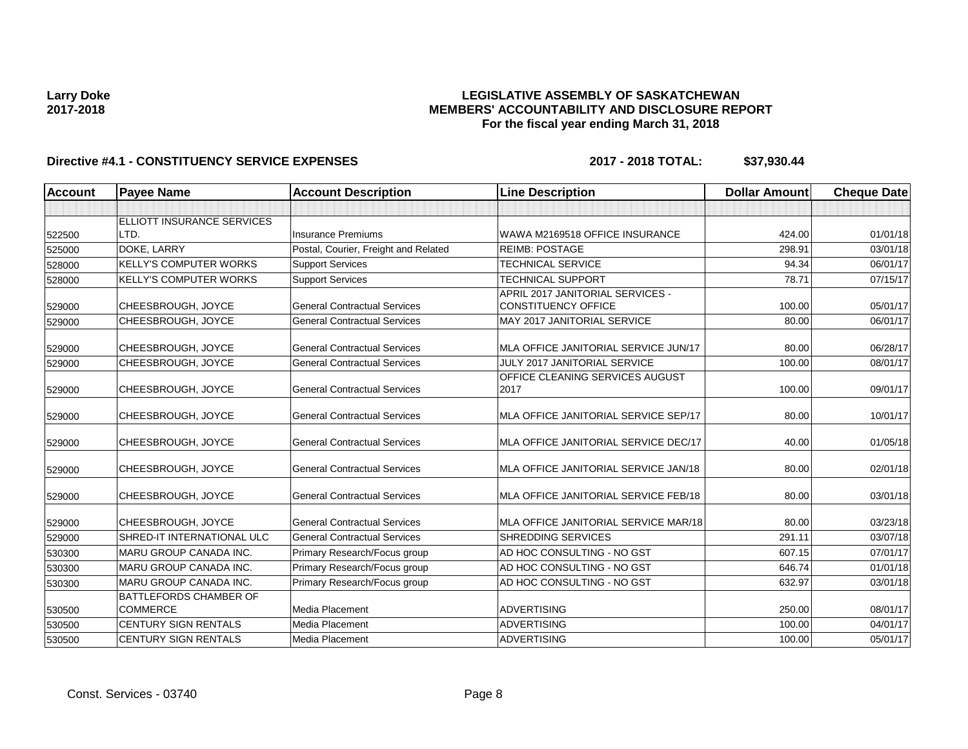#### **LEGISLATIVE ASSEMBLY OF SASKATCHEWAN MEMBERS' ACCOUNTABILITY AND DISCLOSURE REPORT For the fiscal year ending March 31, 2018**

| <b>Account</b> | <b>Payee Name</b>                                | <b>Account Description</b>           | <b>Line Description</b>                                        | <b>Dollar Amount</b> | <b>Cheque Date</b> |
|----------------|--------------------------------------------------|--------------------------------------|----------------------------------------------------------------|----------------------|--------------------|
|                |                                                  |                                      |                                                                |                      |                    |
|                | <b>ELLIOTT INSURANCE SERVICES</b>                |                                      |                                                                |                      |                    |
| 522500         | LTD.                                             | <b>Insurance Premiums</b>            | WAWA M2169518 OFFICE INSURANCE                                 | 424.00               | 01/01/18           |
| 525000         | DOKE, LARRY                                      | Postal, Courier, Freight and Related | <b>REIMB: POSTAGE</b>                                          | 298.91               | 03/01/18           |
| 528000         | <b>KELLY'S COMPUTER WORKS</b>                    | <b>Support Services</b>              | <b>TECHNICAL SERVICE</b>                                       | 94.34                | 06/01/17           |
| 528000         | <b>KELLY'S COMPUTER WORKS</b>                    | <b>Support Services</b>              | <b>TECHNICAL SUPPORT</b>                                       | 78.71                | 07/15/17           |
| 529000         | CHEESBROUGH, JOYCE                               | <b>General Contractual Services</b>  | APRIL 2017 JANITORIAL SERVICES -<br><b>CONSTITUENCY OFFICE</b> | 100.00               | 05/01/17           |
| 529000         | CHEESBROUGH, JOYCE                               | <b>General Contractual Services</b>  | MAY 2017 JANITORIAL SERVICE                                    | 80.00                | 06/01/17           |
| 529000         | CHEESBROUGH, JOYCE                               | <b>General Contractual Services</b>  | MLA OFFICE JANITORIAL SERVICE JUN/17                           | 80.00                | 06/28/17           |
| 529000         | CHEESBROUGH, JOYCE                               | <b>General Contractual Services</b>  | <b>JULY 2017 JANITORIAL SERVICE</b>                            | 100.00               | 08/01/17           |
| 529000         | CHEESBROUGH, JOYCE                               | <b>General Contractual Services</b>  | OFFICE CLEANING SERVICES AUGUST<br>2017                        | 100.00               | 09/01/17           |
| 529000         | CHEESBROUGH, JOYCE                               | <b>General Contractual Services</b>  | MLA OFFICE JANITORIAL SERVICE SEP/17                           | 80.00                | 10/01/17           |
| 529000         | CHEESBROUGH, JOYCE                               | <b>General Contractual Services</b>  | MLA OFFICE JANITORIAL SERVICE DEC/17                           | 40.00                | 01/05/18           |
| 529000         | CHEESBROUGH, JOYCE                               | <b>General Contractual Services</b>  | MLA OFFICE JANITORIAL SERVICE JAN/18                           | 80.00                | 02/01/18           |
| 529000         | CHEESBROUGH, JOYCE                               | <b>General Contractual Services</b>  | MLA OFFICE JANITORIAL SERVICE FEB/18                           | 80.00                | 03/01/18           |
| 529000         | CHEESBROUGH, JOYCE                               | <b>General Contractual Services</b>  | MLA OFFICE JANITORIAL SERVICE MAR/18                           | 80.00                | 03/23/18           |
| 529000         | <b>SHRED-IT INTERNATIONAL ULC</b>                | <b>General Contractual Services</b>  | <b>SHREDDING SERVICES</b>                                      | 291.11               | 03/07/18           |
| 530300         | MARU GROUP CANADA INC.                           | Primary Research/Focus group         | AD HOC CONSULTING - NO GST                                     | 607.15               | 07/01/17           |
| 530300         | <b>MARU GROUP CANADA INC.</b>                    | Primary Research/Focus group         | AD HOC CONSULTING - NO GST                                     | 646.74               | 01/01/18           |
| 530300         | MARU GROUP CANADA INC.                           | Primary Research/Focus group         | AD HOC CONSULTING - NO GST                                     | 632.97               | 03/01/18           |
| 530500         | <b>BATTLEFORDS CHAMBER OF</b><br><b>COMMERCE</b> | Media Placement                      | <b>ADVERTISING</b>                                             | 250.00               | 08/01/17           |
| 530500         | <b>CENTURY SIGN RENTALS</b>                      | Media Placement                      | <b>ADVERTISING</b>                                             | 100.00               | 04/01/17           |
| 530500         | <b>CENTURY SIGN RENTALS</b>                      | Media Placement                      | <b>ADVERTISING</b>                                             | 100.00               | 05/01/17           |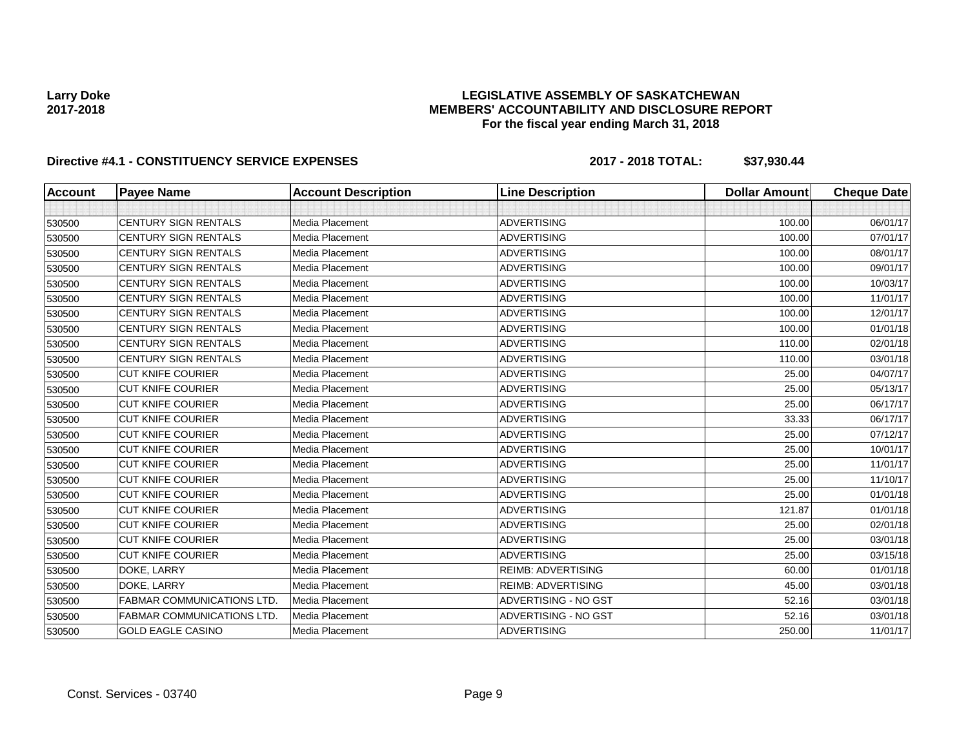### **LEGISLATIVE ASSEMBLY OF SASKATCHEWAN MEMBERS' ACCOUNTABILITY AND DISCLOSURE REPORT For the fiscal year ending March 31, 2018**

| <b>Account</b> | <b>Payee Name</b>                 | <b>Account Description</b> | <b>Line Description</b>   | <b>Dollar Amount</b> | <b>Cheque Date</b> |
|----------------|-----------------------------------|----------------------------|---------------------------|----------------------|--------------------|
|                |                                   |                            |                           |                      |                    |
| 530500         | <b>CENTURY SIGN RENTALS</b>       | Media Placement            | <b>ADVERTISING</b>        | 100.00               | 06/01/17           |
| 530500         | <b>CENTURY SIGN RENTALS</b>       | <b>Media Placement</b>     | <b>ADVERTISING</b>        | 100.00               | 07/01/17           |
| 530500         | <b>CENTURY SIGN RENTALS</b>       | Media Placement            | <b>ADVERTISING</b>        | 100.00               | 08/01/17           |
| 530500         | <b>CENTURY SIGN RENTALS</b>       | Media Placement            | <b>ADVERTISING</b>        | 100.00               | 09/01/17           |
| 530500         | <b>CENTURY SIGN RENTALS</b>       | Media Placement            | <b>ADVERTISING</b>        | 100.00               | 10/03/17           |
| 530500         | <b>CENTURY SIGN RENTALS</b>       | <b>Media Placement</b>     | <b>ADVERTISING</b>        | 100.00               | 11/01/17           |
| 530500         | <b>CENTURY SIGN RENTALS</b>       | Media Placement            | <b>ADVERTISING</b>        | 100.00               | 12/01/17           |
| 530500         | CENTURY SIGN RENTALS              | Media Placement            | <b>ADVERTISING</b>        | 100.00               | 01/01/18           |
| 530500         | <b>CENTURY SIGN RENTALS</b>       | Media Placement            | <b>ADVERTISING</b>        | 110.00               | 02/01/18           |
| 530500         | <b>CENTURY SIGN RENTALS</b>       | Media Placement            | <b>ADVERTISING</b>        | 110.00               | 03/01/18           |
| 530500         | <b>CUT KNIFE COURIER</b>          | Media Placement            | <b>ADVERTISING</b>        | 25.00                | 04/07/17           |
| 530500         | <b>CUT KNIFE COURIER</b>          | Media Placement            | <b>ADVERTISING</b>        | 25.00                | 05/13/17           |
| 530500         | <b>CUT KNIFE COURIER</b>          | Media Placement            | <b>ADVERTISING</b>        | 25.00                | 06/17/17           |
| 530500         | <b>CUT KNIFE COURIER</b>          | Media Placement            | <b>ADVERTISING</b>        | 33.33                | 06/17/17           |
| 530500         | <b>CUT KNIFE COURIER</b>          | Media Placement            | <b>ADVERTISING</b>        | 25.00                | 07/12/17           |
| 530500         | <b>CUT KNIFE COURIER</b>          | Media Placement            | <b>ADVERTISING</b>        | 25.00                | 10/01/17           |
| 530500         | <b>CUT KNIFE COURIER</b>          | Media Placement            | <b>ADVERTISING</b>        | 25.00                | 11/01/17           |
| 530500         | <b>CUT KNIFE COURIER</b>          | Media Placement            | <b>ADVERTISING</b>        | 25.00                | 11/10/17           |
| 530500         | <b>CUT KNIFE COURIER</b>          | Media Placement            | <b>ADVERTISING</b>        | 25.00                | 01/01/18           |
| 530500         | <b>CUT KNIFE COURIER</b>          | Media Placement            | <b>ADVERTISING</b>        | 121.87               | 01/01/18           |
| 530500         | <b>CUT KNIFE COURIER</b>          | Media Placement            | <b>ADVERTISING</b>        | 25.00                | 02/01/18           |
| 530500         | <b>CUT KNIFE COURIER</b>          | Media Placement            | <b>ADVERTISING</b>        | 25.00                | 03/01/18           |
| 530500         | <b>CUT KNIFE COURIER</b>          | Media Placement            | <b>ADVERTISING</b>        | 25.00                | 03/15/18           |
| 530500         | DOKE, LARRY                       | Media Placement            | <b>REIMB: ADVERTISING</b> | 60.00                | 01/01/18           |
| 530500         | DOKE, LARRY                       | Media Placement            | <b>REIMB: ADVERTISING</b> | 45.00                | 03/01/18           |
| 530500         | <b>FABMAR COMMUNICATIONS LTD.</b> | Media Placement            | ADVERTISING - NO GST      | 52.16                | 03/01/18           |
| 530500         | <b>FABMAR COMMUNICATIONS LTD.</b> | Media Placement            | ADVERTISING - NO GST      | 52.16                | 03/01/18           |
| 530500         | <b>GOLD EAGLE CASINO</b>          | Media Placement            | <b>ADVERTISING</b>        | 250.00               | 11/01/17           |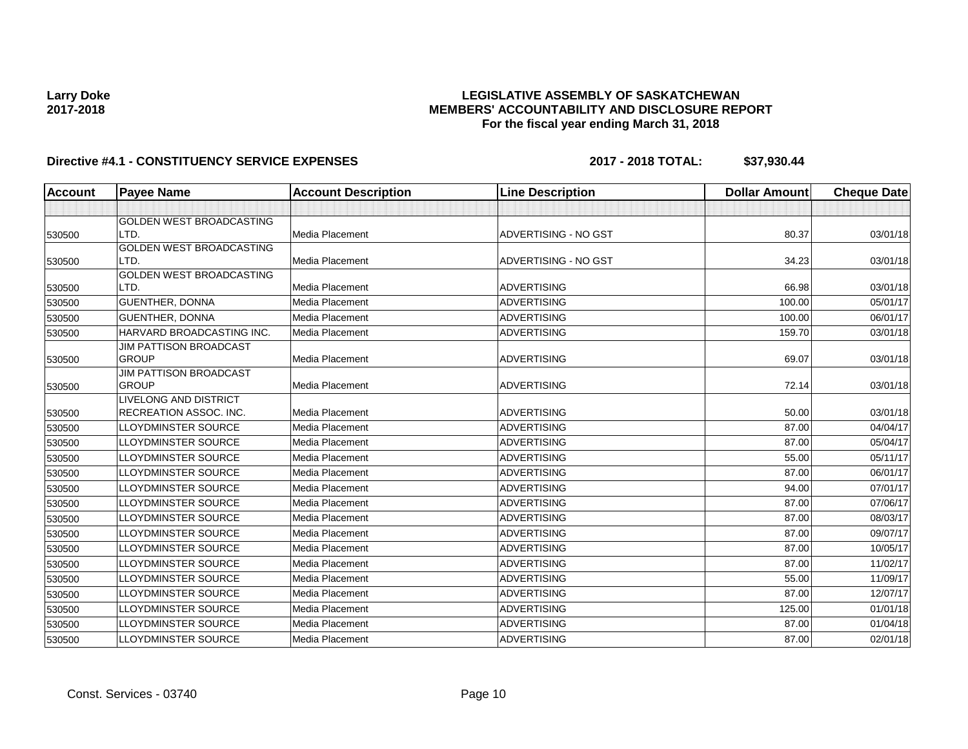### **LEGISLATIVE ASSEMBLY OF SASKATCHEWAN MEMBERS' ACCOUNTABILITY AND DISCLOSURE REPORT For the fiscal year ending March 31, 2018**

| <b>Account</b> | <b>Payee Name</b>               | <b>Account Description</b> | <b>Line Description</b> | <b>Dollar Amount</b> | <b>Cheque Date</b> |
|----------------|---------------------------------|----------------------------|-------------------------|----------------------|--------------------|
|                |                                 |                            |                         |                      |                    |
|                | GOLDEN WEST BROADCASTING        |                            |                         |                      |                    |
| 530500         | LTD.                            | Media Placement            | ADVERTISING - NO GST    | 80.37                | 03/01/18           |
|                | <b>GOLDEN WEST BROADCASTING</b> |                            |                         |                      |                    |
| 530500         | LTD.                            | <b>Media Placement</b>     | ADVERTISING - NO GST    | 34.23                | 03/01/18           |
|                | <b>GOLDEN WEST BROADCASTING</b> |                            |                         |                      |                    |
| 530500         | LTD.                            | Media Placement            | <b>ADVERTISING</b>      | 66.98                | 03/01/18           |
| 530500         | <b>GUENTHER, DONNA</b>          | Media Placement            | <b>ADVERTISING</b>      | 100.00               | 05/01/17           |
| 530500         | <b>GUENTHER, DONNA</b>          | Media Placement            | <b>ADVERTISING</b>      | 100.00               | 06/01/17           |
| 530500         | HARVARD BROADCASTING INC.       | Media Placement            | <b>ADVERTISING</b>      | 159.70               | 03/01/18           |
|                | <b>JIM PATTISON BROADCAST</b>   |                            |                         |                      |                    |
| 530500         | <b>GROUP</b>                    | <b>Media Placement</b>     | <b>ADVERTISING</b>      | 69.07                | 03/01/18           |
|                | JIM PATTISON BROADCAST          |                            |                         |                      |                    |
| 530500         | <b>GROUP</b>                    | <b>Media Placement</b>     | <b>ADVERTISING</b>      | 72.14                | 03/01/18           |
|                | LIVELONG AND DISTRICT           |                            |                         |                      |                    |
| 530500         | <b>RECREATION ASSOC. INC.</b>   | Media Placement            | <b>ADVERTISING</b>      | 50.00                | 03/01/18           |
| 530500         | <b>LLOYDMINSTER SOURCE</b>      | Media Placement            | <b>ADVERTISING</b>      | 87.00                | 04/04/17           |
| 530500         | <b>LLOYDMINSTER SOURCE</b>      | <b>Media Placement</b>     | <b>ADVERTISING</b>      | 87.00                | 05/04/17           |
| 530500         | <b>LLOYDMINSTER SOURCE</b>      | Media Placement            | <b>ADVERTISING</b>      | 55.00                | 05/11/17           |
| 530500         | <b>LLOYDMINSTER SOURCE</b>      | Media Placement            | <b>ADVERTISING</b>      | 87.00                | 06/01/17           |
| 530500         | <b>LLOYDMINSTER SOURCE</b>      | Media Placement            | <b>ADVERTISING</b>      | 94.00                | 07/01/17           |
| 530500         | <b>LLOYDMINSTER SOURCE</b>      | Media Placement            | <b>ADVERTISING</b>      | 87.00                | 07/06/17           |
| 530500         | <b>LLOYDMINSTER SOURCE</b>      | Media Placement            | <b>ADVERTISING</b>      | 87.00                | 08/03/17           |
| 530500         | <b>LLOYDMINSTER SOURCE</b>      | Media Placement            | <b>ADVERTISING</b>      | 87.00                | 09/07/17           |
| 530500         | <b>LLOYDMINSTER SOURCE</b>      | <b>Media Placement</b>     | ADVERTISING             | 87.00                | 10/05/17           |
| 530500         | <b>LLOYDMINSTER SOURCE</b>      | Media Placement            | <b>ADVERTISING</b>      | 87.00                | 11/02/17           |
| 530500         | <b>LLOYDMINSTER SOURCE</b>      | Media Placement            | <b>ADVERTISING</b>      | 55.00                | 11/09/17           |
| 530500         | <b>LLOYDMINSTER SOURCE</b>      | Media Placement            | <b>ADVERTISING</b>      | 87.00                | 12/07/17           |
| 530500         | LLOYDMINSTER SOURCE             | Media Placement            | <b>ADVERTISING</b>      | 125.00               | 01/01/18           |
| 530500         | <b>LLOYDMINSTER SOURCE</b>      | Media Placement            | <b>ADVERTISING</b>      | 87.00                | 01/04/18           |
| 530500         | LLOYDMINSTER SOURCE             | Media Placement            | <b>ADVERTISING</b>      | 87.00                | 02/01/18           |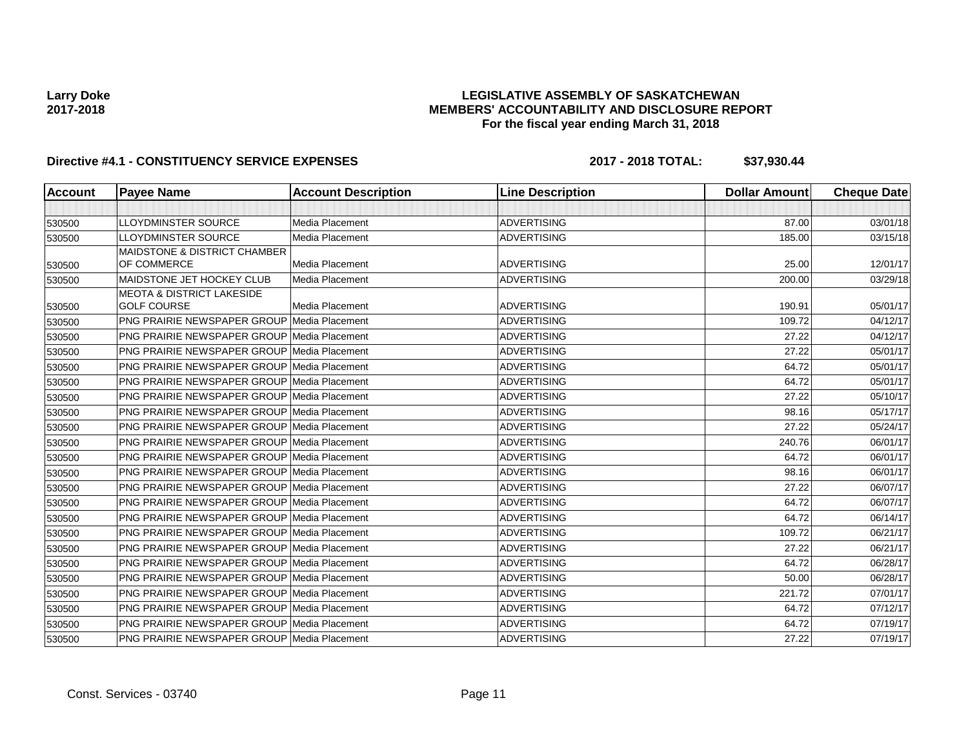### **LEGISLATIVE ASSEMBLY OF SASKATCHEWAN MEMBERS' ACCOUNTABILITY AND DISCLOSURE REPORT For the fiscal year ending March 31, 2018**

| <b>Account</b> | <b>Payee Name</b>                                  | <b>Account Description</b> | <b>Line Description</b> | <b>Dollar Amount</b> | <b>Cheque Date</b> |
|----------------|----------------------------------------------------|----------------------------|-------------------------|----------------------|--------------------|
|                |                                                    |                            |                         |                      |                    |
| 530500         | <b>LLOYDMINSTER SOURCE</b>                         | <b>Media Placement</b>     | <b>ADVERTISING</b>      | 87.00                | 03/01/18           |
| 530500         | <b>LLOYDMINSTER SOURCE</b>                         | <b>Media Placement</b>     | <b>ADVERTISING</b>      | 185.00               | 03/15/18           |
|                | <b>MAIDSTONE &amp; DISTRICT CHAMBER</b>            |                            |                         |                      |                    |
| 530500         | OF COMMERCE                                        | Media Placement            | <b>ADVERTISING</b>      | 25.00                | 12/01/17           |
| 530500         | MAIDSTONE JET HOCKEY CLUB                          | Media Placement            | <b>ADVERTISING</b>      | 200.00               | 03/29/18           |
|                | <b>MEOTA &amp; DISTRICT LAKESIDE</b>               |                            |                         |                      |                    |
| 530500         | <b>GOLF COURSE</b>                                 | Media Placement            | <b>ADVERTISING</b>      | 190.91               | 05/01/17           |
| 530500         | <b>PNG PRAIRIE NEWSPAPER GROUP Media Placement</b> |                            | <b>ADVERTISING</b>      | 109.72               | 04/12/17           |
| 530500         | <b>PNG PRAIRIE NEWSPAPER GROUP Media Placement</b> |                            | <b>ADVERTISING</b>      | 27.22                | 04/12/17           |
| 530500         | <b>PNG PRAIRIE NEWSPAPER GROUP Media Placement</b> |                            | <b>ADVERTISING</b>      | 27.22                | 05/01/17           |
| 530500         | <b>PNG PRAIRIE NEWSPAPER GROUP Media Placement</b> |                            | <b>ADVERTISING</b>      | 64.72                | 05/01/17           |
| 530500         | <b>PNG PRAIRIE NEWSPAPER GROUP Media Placement</b> |                            | <b>ADVERTISING</b>      | 64.72                | 05/01/17           |
| 530500         | <b>PNG PRAIRIE NEWSPAPER GROUP Media Placement</b> |                            | <b>ADVERTISING</b>      | 27.22                | 05/10/17           |
| 530500         | <b>PNG PRAIRIE NEWSPAPER GROUP Media Placement</b> |                            | <b>ADVERTISING</b>      | 98.16                | 05/17/17           |
| 530500         | <b>PNG PRAIRIE NEWSPAPER GROUP Media Placement</b> |                            | <b>ADVERTISING</b>      | 27.22                | 05/24/17           |
| 530500         | <b>PNG PRAIRIE NEWSPAPER GROUP Media Placement</b> |                            | <b>ADVERTISING</b>      | 240.76               | 06/01/17           |
| 530500         | <b>PNG PRAIRIE NEWSPAPER GROUP Media Placement</b> |                            | <b>ADVERTISING</b>      | 64.72                | 06/01/17           |
| 530500         | <b>PNG PRAIRIE NEWSPAPER GROUP Media Placement</b> |                            | <b>ADVERTISING</b>      | 98.16                | 06/01/17           |
| 530500         | <b>PNG PRAIRIE NEWSPAPER GROUP Media Placement</b> |                            | <b>ADVERTISING</b>      | 27.22                | 06/07/17           |
| 530500         | <b>PNG PRAIRIE NEWSPAPER GROUP Media Placement</b> |                            | <b>ADVERTISING</b>      | 64.72                | 06/07/17           |
| 530500         | <b>PNG PRAIRIE NEWSPAPER GROUP Media Placement</b> |                            | <b>ADVERTISING</b>      | 64.72                | 06/14/17           |
| 530500         | <b>PNG PRAIRIE NEWSPAPER GROUP Media Placement</b> |                            | <b>ADVERTISING</b>      | 109.72               | 06/21/17           |
| 530500         | <b>PNG PRAIRIE NEWSPAPER GROUP Media Placement</b> |                            | <b>ADVERTISING</b>      | 27.22                | 06/21/17           |
| 530500         | <b>PNG PRAIRIE NEWSPAPER GROUP Media Placement</b> |                            | <b>ADVERTISING</b>      | 64.72                | 06/28/17           |
| 530500         | <b>PNG PRAIRIE NEWSPAPER GROUP Media Placement</b> |                            | <b>ADVERTISING</b>      | 50.00                | 06/28/17           |
| 530500         | <b>PNG PRAIRIE NEWSPAPER GROUP Media Placement</b> |                            | <b>ADVERTISING</b>      | 221.72               | 07/01/17           |
| 530500         | <b>PNG PRAIRIE NEWSPAPER GROUP Media Placement</b> |                            | <b>ADVERTISING</b>      | 64.72                | 07/12/17           |
| 530500         | <b>PNG PRAIRIE NEWSPAPER GROUP Media Placement</b> |                            | <b>ADVERTISING</b>      | 64.72                | 07/19/17           |
| 530500         | PNG PRAIRIE NEWSPAPER GROUP Media Placement        |                            | <b>ADVERTISING</b>      | 27.22                | 07/19/17           |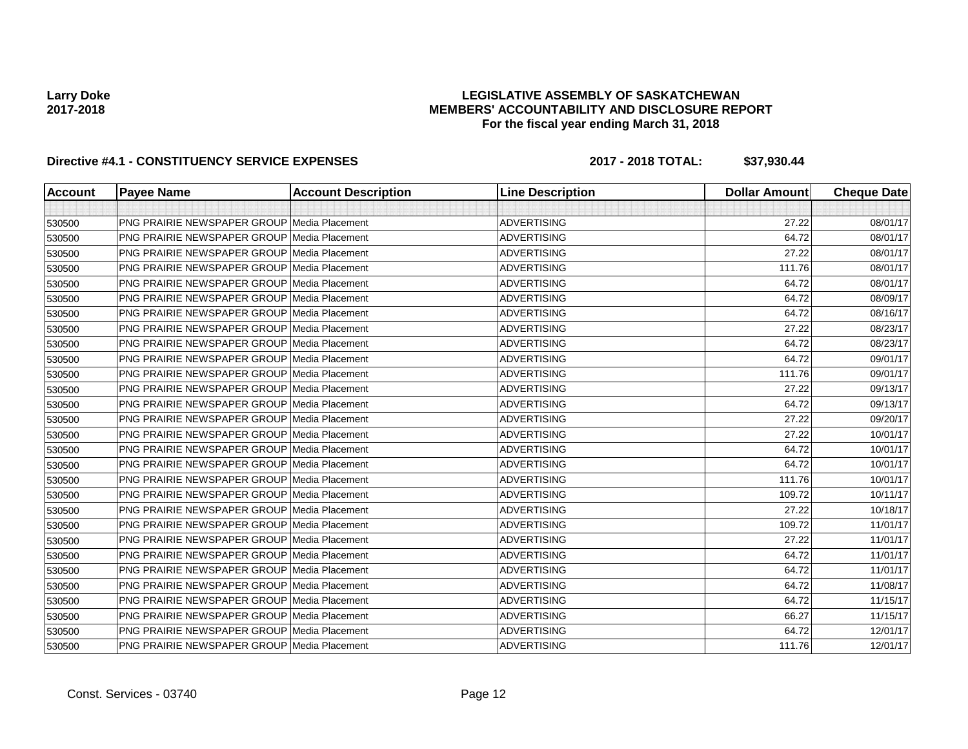### **LEGISLATIVE ASSEMBLY OF SASKATCHEWAN MEMBERS' ACCOUNTABILITY AND DISCLOSURE REPORT For the fiscal year ending March 31, 2018**

| <b>Account</b> | <b>Payee Name</b>                                  | <b>Account Description</b> | <b>Line Description</b> | <b>Dollar Amount</b> | <b>Cheque Date</b> |
|----------------|----------------------------------------------------|----------------------------|-------------------------|----------------------|--------------------|
|                |                                                    |                            |                         |                      |                    |
| 530500         | <b>PNG PRAIRIE NEWSPAPER GROUP Media Placement</b> |                            | ADVERTISING             | 27.22                | 08/01/17           |
| 530500         | <b>PNG PRAIRIE NEWSPAPER GROUP Media Placement</b> |                            | <b>ADVERTISING</b>      | 64.72                | 08/01/17           |
| 530500         | PNG PRAIRIE NEWSPAPER GROUP Media Placement        |                            | ADVERTISING             | 27.22                | 08/01/17           |
| 530500         | <b>PNG PRAIRIE NEWSPAPER GROUP Media Placement</b> |                            | <b>ADVERTISING</b>      | 111.76               | 08/01/17           |
| 530500         | <b>PNG PRAIRIE NEWSPAPER GROUP Media Placement</b> |                            | <b>ADVERTISING</b>      | 64.72                | 08/01/17           |
| 530500         | PNG PRAIRIE NEWSPAPER GROUP Media Placement        |                            | <b>ADVERTISING</b>      | 64.72                | 08/09/17           |
| 530500         | <b>PNG PRAIRIE NEWSPAPER GROUP Media Placement</b> |                            | <b>ADVERTISING</b>      | 64.72                | 08/16/17           |
| 530500         | <b>PNG PRAIRIE NEWSPAPER GROUP Media Placement</b> |                            | <b>ADVERTISING</b>      | 27.22                | 08/23/17           |
| 530500         | <b>PNG PRAIRIE NEWSPAPER GROUP Media Placement</b> |                            | <b>ADVERTISING</b>      | 64.72                | 08/23/17           |
| 530500         | <b>PNG PRAIRIE NEWSPAPER GROUP Media Placement</b> |                            | <b>ADVERTISING</b>      | 64.72                | 09/01/17           |
| 530500         | <b>PNG PRAIRIE NEWSPAPER GROUP Media Placement</b> |                            | <b>ADVERTISING</b>      | 111.76               | 09/01/17           |
| 530500         | <b>PNG PRAIRIE NEWSPAPER GROUP Media Placement</b> |                            | <b>ADVERTISING</b>      | 27.22                | 09/13/17           |
| 530500         | <b>PNG PRAIRIE NEWSPAPER GROUP Media Placement</b> |                            | <b>ADVERTISING</b>      | 64.72                | 09/13/17           |
| 530500         | <b>PNG PRAIRIE NEWSPAPER GROUP Media Placement</b> |                            | <b>ADVERTISING</b>      | 27.22                | 09/20/17           |
| 530500         | <b>PNG PRAIRIE NEWSPAPER GROUP Media Placement</b> |                            | <b>ADVERTISING</b>      | 27.22                | 10/01/17           |
| 530500         | <b>PNG PRAIRIE NEWSPAPER GROUP Media Placement</b> |                            | <b>ADVERTISING</b>      | 64.72                | 10/01/17           |
| 530500         | <b>PNG PRAIRIE NEWSPAPER GROUP Media Placement</b> |                            | <b>ADVERTISING</b>      | 64.72                | 10/01/17           |
| 530500         | <b>PNG PRAIRIE NEWSPAPER GROUP Media Placement</b> |                            | <b>ADVERTISING</b>      | 111.76               | 10/01/17           |
| 530500         | <b>PNG PRAIRIE NEWSPAPER GROUP Media Placement</b> |                            | <b>ADVERTISING</b>      | 109.72               | 10/11/17           |
| 530500         | <b>PNG PRAIRIE NEWSPAPER GROUP Media Placement</b> |                            | <b>ADVERTISING</b>      | 27.22                | 10/18/17           |
| 530500         | <b>PNG PRAIRIE NEWSPAPER GROUP Media Placement</b> |                            | <b>ADVERTISING</b>      | 109.72               | 11/01/17           |
| 530500         | <b>PNG PRAIRIE NEWSPAPER GROUP Media Placement</b> |                            | <b>ADVERTISING</b>      | 27.22                | 11/01/17           |
| 530500         | <b>PNG PRAIRIE NEWSPAPER GROUP Media Placement</b> |                            | <b>ADVERTISING</b>      | 64.72                | 11/01/17           |
| 530500         | PNG PRAIRIE NEWSPAPER GROUP Media Placement        |                            | <b>ADVERTISING</b>      | 64.72                | 11/01/17           |
| 530500         | <b>PNG PRAIRIE NEWSPAPER GROUP Media Placement</b> |                            | <b>ADVERTISING</b>      | 64.72                | 11/08/17           |
| 530500         | <b>PNG PRAIRIE NEWSPAPER GROUP Media Placement</b> |                            | <b>ADVERTISING</b>      | 64.72                | 11/15/17           |
| 530500         | <b>PNG PRAIRIE NEWSPAPER GROUP Media Placement</b> |                            | <b>ADVERTISING</b>      | 66.27                | 11/15/17           |
| 530500         | <b>PNG PRAIRIE NEWSPAPER GROUP Media Placement</b> |                            | <b>ADVERTISING</b>      | 64.72                | 12/01/17           |
| 530500         | PNG PRAIRIE NEWSPAPER GROUP Media Placement        |                            | <b>ADVERTISING</b>      | 111.76               | 12/01/17           |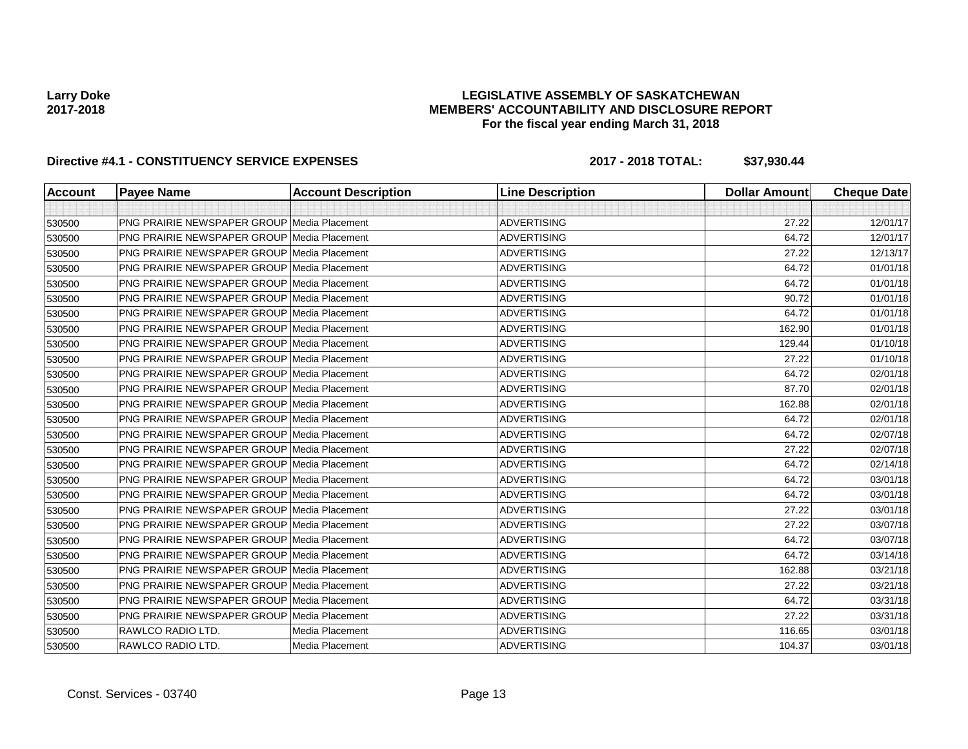### **LEGISLATIVE ASSEMBLY OF SASKATCHEWAN MEMBERS' ACCOUNTABILITY AND DISCLOSURE REPORT For the fiscal year ending March 31, 2018**

| <b>Account</b> | <b>Payee Name</b>                                  | <b>Account Description</b> | <b>Line Description</b> | <b>Dollar Amount</b> | <b>Cheque Date</b> |
|----------------|----------------------------------------------------|----------------------------|-------------------------|----------------------|--------------------|
|                |                                                    |                            |                         |                      |                    |
| 530500         | <b>PNG PRAIRIE NEWSPAPER GROUP Media Placement</b> |                            | <b>ADVERTISING</b>      | 27.22                | 12/01/17           |
| 530500         | <b>PNG PRAIRIE NEWSPAPER GROUP Media Placement</b> |                            | <b>ADVERTISING</b>      | 64.72                | 12/01/17           |
| 530500         | PNG PRAIRIE NEWSPAPER GROUP Media Placement        |                            | <b>ADVERTISING</b>      | 27.22                | 12/13/17           |
| 530500         | <b>PNG PRAIRIE NEWSPAPER GROUP Media Placement</b> |                            | <b>ADVERTISING</b>      | 64.72                | 01/01/18           |
| 530500         | <b>PNG PRAIRIE NEWSPAPER GROUP Media Placement</b> |                            | <b>ADVERTISING</b>      | 64.72                | 01/01/18           |
| 530500         | <b>PNG PRAIRIE NEWSPAPER GROUP Media Placement</b> |                            | <b>ADVERTISING</b>      | 90.72                | 01/01/18           |
| 530500         | <b>PNG PRAIRIE NEWSPAPER GROUP Media Placement</b> |                            | <b>ADVERTISING</b>      | 64.72                | 01/01/18           |
| 530500         | PNG PRAIRIE NEWSPAPER GROUP Media Placement        |                            | ADVERTISING             | 162.90               | 01/01/18           |
| 530500         | <b>PNG PRAIRIE NEWSPAPER GROUP Media Placement</b> |                            | <b>ADVERTISING</b>      | 129.44               | 01/10/18           |
| 530500         | PNG PRAIRIE NEWSPAPER GROUP Media Placement        |                            | <b>ADVERTISING</b>      | 27.22                | 01/10/18           |
| 530500         | <b>PNG PRAIRIE NEWSPAPER GROUP Media Placement</b> |                            | <b>ADVERTISING</b>      | 64.72                | 02/01/18           |
| 530500         | <b>PNG PRAIRIE NEWSPAPER GROUP Media Placement</b> |                            | <b>ADVERTISING</b>      | 87.70                | 02/01/18           |
| 530500         | <b>PNG PRAIRIE NEWSPAPER GROUP Media Placement</b> |                            | <b>ADVERTISING</b>      | 162.88               | 02/01/18           |
| 530500         | <b>PNG PRAIRIE NEWSPAPER GROUP Media Placement</b> |                            | <b>ADVERTISING</b>      | 64.72                | 02/01/18           |
| 530500         | <b>PNG PRAIRIE NEWSPAPER GROUP Media Placement</b> |                            | <b>ADVERTISING</b>      | 64.72                | 02/07/18           |
| 530500         | <b>PNG PRAIRIE NEWSPAPER GROUP Media Placement</b> |                            | <b>ADVERTISING</b>      | 27.22                | 02/07/18           |
| 530500         | <b>PNG PRAIRIE NEWSPAPER GROUP Media Placement</b> |                            | <b>ADVERTISING</b>      | 64.72                | 02/14/18           |
| 530500         | PNG PRAIRIE NEWSPAPER GROUP Media Placement        |                            | <b>ADVERTISING</b>      | 64.72                | 03/01/18           |
| 530500         | <b>PNG PRAIRIE NEWSPAPER GROUP Media Placement</b> |                            | <b>ADVERTISING</b>      | 64.72                | 03/01/18           |
| 530500         | <b>PNG PRAIRIE NEWSPAPER GROUP Media Placement</b> |                            | <b>ADVERTISING</b>      | 27.22                | 03/01/18           |
| 530500         | <b>PNG PRAIRIE NEWSPAPER GROUP Media Placement</b> |                            | <b>ADVERTISING</b>      | 27.22                | 03/07/18           |
| 530500         | <b>PNG PRAIRIE NEWSPAPER GROUP Media Placement</b> |                            | <b>ADVERTISING</b>      | 64.72                | 03/07/18           |
| 530500         | PNG PRAIRIE NEWSPAPER GROUP Media Placement        |                            | <b>ADVERTISING</b>      | 64.72                | 03/14/18           |
| 530500         | <b>PNG PRAIRIE NEWSPAPER GROUP Media Placement</b> |                            | <b>ADVERTISING</b>      | 162.88               | 03/21/18           |
| 530500         | <b>PNG PRAIRIE NEWSPAPER GROUP Media Placement</b> |                            | <b>ADVERTISING</b>      | 27.22                | 03/21/18           |
| 530500         | <b>PNG PRAIRIE NEWSPAPER GROUP Media Placement</b> |                            | <b>ADVERTISING</b>      | 64.72                | 03/31/18           |
| 530500         | <b>PNG PRAIRIE NEWSPAPER GROUP Media Placement</b> |                            | <b>ADVERTISING</b>      | 27.22                | 03/31/18           |
| 530500         | RAWLCO RADIO LTD.                                  | Media Placement            | <b>ADVERTISING</b>      | 116.65               | 03/01/18           |
| 530500         | RAWLCO RADIO LTD.                                  | Media Placement            | <b>ADVERTISING</b>      | 104.37               | 03/01/18           |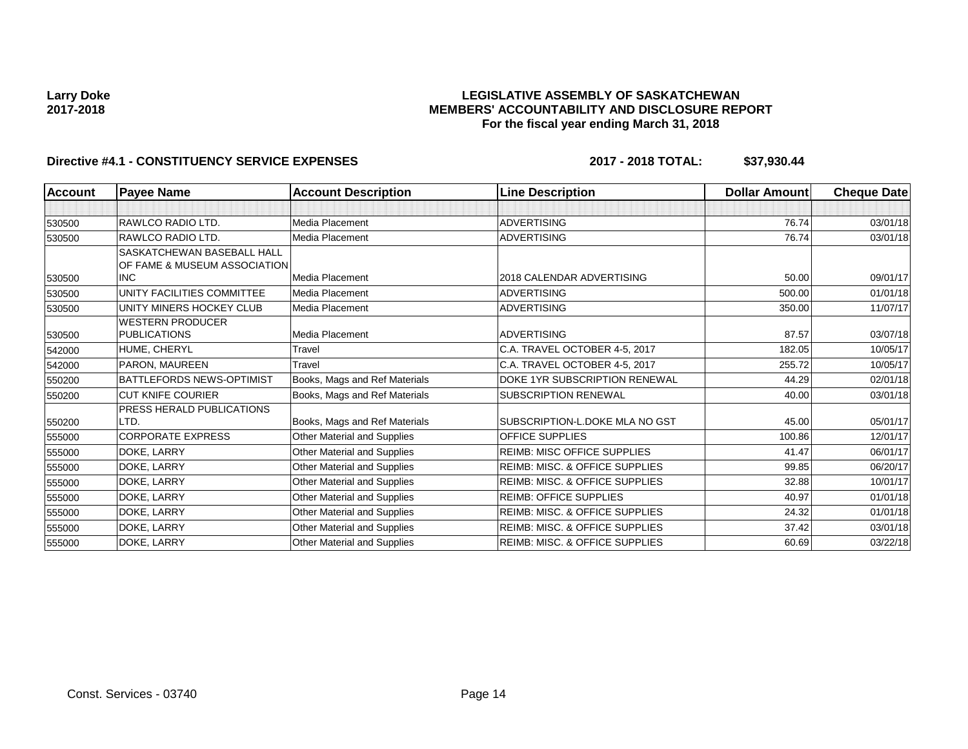### **LEGISLATIVE ASSEMBLY OF SASKATCHEWAN MEMBERS' ACCOUNTABILITY AND DISCLOSURE REPORT For the fiscal year ending March 31, 2018**

| <b>Account</b> | <b>Payee Name</b>                | <b>Account Description</b>    | <b>Line Description</b>                   | Dollar Amount | <b>Cheque Date</b> |
|----------------|----------------------------------|-------------------------------|-------------------------------------------|---------------|--------------------|
|                |                                  |                               |                                           |               |                    |
| 530500         | RAWLCO RADIO LTD.                | Media Placement               | <b>ADVERTISING</b>                        | 76.74         | 03/01/18           |
| 530500         | RAWLCO RADIO LTD.                | Media Placement               | <b>ADVERTISING</b>                        | 76.74         | 03/01/18           |
|                | SASKATCHEWAN BASEBALL HALL       |                               |                                           |               |                    |
|                | OF FAME & MUSEUM ASSOCIATION     |                               |                                           |               |                    |
| 530500         | <b>INC</b>                       | Media Placement               | 2018 CALENDAR ADVERTISING                 | 50.00         | 09/01/17           |
| 530500         | UNITY FACILITIES COMMITTEE       | <b>Media Placement</b>        | <b>ADVERTISING</b>                        | 500.00        | 01/01/18           |
| 530500         | UNITY MINERS HOCKEY CLUB         | Media Placement               | <b>ADVERTISING</b>                        | 350.00        | 11/07/17           |
|                | <b>WESTERN PRODUCER</b>          |                               |                                           |               |                    |
| 530500         | <b>PUBLICATIONS</b>              | Media Placement               | <b>ADVERTISING</b>                        | 87.57         | 03/07/18           |
| 542000         | HUME, CHERYL                     | Travel                        | C.A. TRAVEL OCTOBER 4-5, 2017             | 182.05        | 10/05/17           |
| 542000         | PARON, MAUREEN                   | Travel                        | C.A. TRAVEL OCTOBER 4-5, 2017             | 255.72        | 10/05/17           |
| 550200         | <b>BATTLEFORDS NEWS-OPTIMIST</b> | Books, Mags and Ref Materials | DOKE 1YR SUBSCRIPTION RENEWAL             | 44.29         | 02/01/18           |
| 550200         | <b>CUT KNIFE COURIER</b>         | Books, Mags and Ref Materials | <b>SUBSCRIPTION RENEWAL</b>               | 40.00         | 03/01/18           |
|                | PRESS HERALD PUBLICATIONS        |                               |                                           |               |                    |
| 550200         | LTD.                             | Books, Mags and Ref Materials | SUBSCRIPTION-L.DOKE MLA NO GST            | 45.00         | 05/01/17           |
| 555000         | <b>CORPORATE EXPRESS</b>         | Other Material and Supplies   | <b>OFFICE SUPPLIES</b>                    | 100.86        | 12/01/17           |
| 555000         | DOKE, LARRY                      | Other Material and Supplies   | <b>REIMB: MISC OFFICE SUPPLIES</b>        | 41.47         | 06/01/17           |
| 555000         | DOKE, LARRY                      | Other Material and Supplies   | REIMB: MISC. & OFFICE SUPPLIES            | 99.85         | 06/20/17           |
| 555000         | DOKE, LARRY                      | Other Material and Supplies   | <b>REIMB: MISC. &amp; OFFICE SUPPLIES</b> | 32.88         | 10/01/17           |
| 555000         | DOKE, LARRY                      | Other Material and Supplies   | <b>REIMB: OFFICE SUPPLIES</b>             | 40.97         | 01/01/18           |
| 555000         | DOKE, LARRY                      | Other Material and Supplies   | REIMB: MISC. & OFFICE SUPPLIES            | 24.32         | 01/01/18           |
| 555000         | DOKE, LARRY                      | Other Material and Supplies   | <b>REIMB: MISC. &amp; OFFICE SUPPLIES</b> | 37.42         | 03/01/18           |
| 555000         | DOKE, LARRY                      | Other Material and Supplies   | <b>REIMB: MISC. &amp; OFFICE SUPPLIES</b> | 60.69         | 03/22/18           |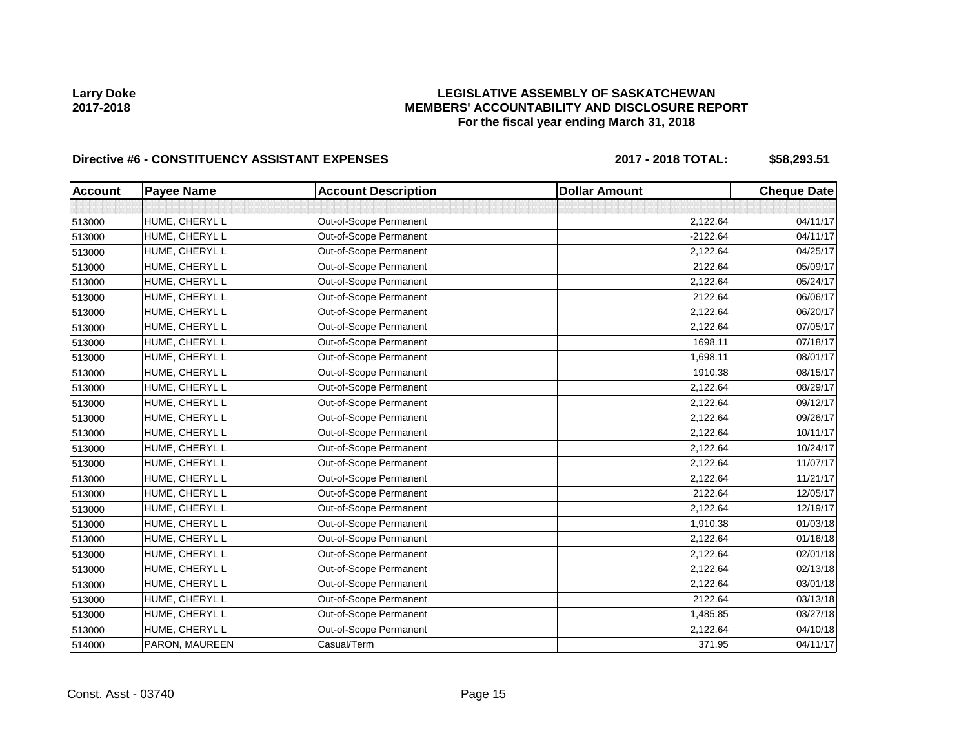### **LEGISLATIVE ASSEMBLY OF SASKATCHEWAN MEMBERS' ACCOUNTABILITY AND DISCLOSURE REPORT For the fiscal year ending March 31, 2018**

# Directive #6 - CONSTITUENCY ASSISTANT EXPENSES 2017 - 2018 TOTAL: \$58,293.51

| <b>Account</b> | <b>Payee Name</b> | <b>Account Description</b> | <b>Dollar Amount</b> | <b>Cheque Date</b> |
|----------------|-------------------|----------------------------|----------------------|--------------------|
|                |                   |                            |                      |                    |
| 513000         | HUME, CHERYL L    | Out-of-Scope Permanent     | 2,122.64             | 04/11/17           |
| 513000         | HUME, CHERYL L    | Out-of-Scope Permanent     | $-2122.64$           | 04/11/17           |
| 513000         | HUME, CHERYL L    | Out-of-Scope Permanent     | 2,122.64             | 04/25/17           |
| 513000         | HUME, CHERYL L    | Out-of-Scope Permanent     | 2122.64              | 05/09/17           |
| 513000         | HUME, CHERYL L    | Out-of-Scope Permanent     | 2,122.64             | 05/24/17           |
| 513000         | HUME, CHERYL L    | Out-of-Scope Permanent     | 2122.64              | 06/06/17           |
| 513000         | HUME, CHERYL L    | Out-of-Scope Permanent     | 2,122.64             | 06/20/17           |
| 513000         | HUME, CHERYL L    | Out-of-Scope Permanent     | 2,122.64             | 07/05/17           |
| 513000         | HUME, CHERYL L    | Out-of-Scope Permanent     | 1698.11              | 07/18/17           |
| 513000         | HUME, CHERYL L    | Out-of-Scope Permanent     | 1,698.11             | 08/01/17           |
| 513000         | HUME, CHERYL L    | Out-of-Scope Permanent     | 1910.38              | 08/15/17           |
| 513000         | HUME, CHERYL L    | Out-of-Scope Permanent     | 2,122.64             | 08/29/17           |
| 513000         | HUME, CHERYL L    | Out-of-Scope Permanent     | 2,122.64             | 09/12/17           |
| 513000         | HUME, CHERYL L    | Out-of-Scope Permanent     | 2,122.64             | 09/26/17           |
| 513000         | HUME, CHERYL L    | Out-of-Scope Permanent     | 2,122.64             | 10/11/17           |
| 513000         | HUME, CHERYL L    | Out-of-Scope Permanent     | 2,122.64             | 10/24/17           |
| 513000         | HUME, CHERYL L    | Out-of-Scope Permanent     | 2,122.64             | 11/07/17           |
| 513000         | HUME, CHERYL L    | Out-of-Scope Permanent     | 2,122.64             | 11/21/17           |
| 513000         | HUME, CHERYL L    | Out-of-Scope Permanent     | 2122.64              | 12/05/17           |
| 513000         | HUME, CHERYL L    | Out-of-Scope Permanent     | 2,122.64             | 12/19/17           |
| 513000         | HUME, CHERYL L    | Out-of-Scope Permanent     | 1,910.38             | 01/03/18           |
| 513000         | HUME, CHERYL L    | Out-of-Scope Permanent     | 2,122.64             | 01/16/18           |
| 513000         | HUME, CHERYL L    | Out-of-Scope Permanent     | 2,122.64             | 02/01/18           |
| 513000         | HUME, CHERYL L    | Out-of-Scope Permanent     | 2,122.64             | 02/13/18           |
| 513000         | HUME, CHERYL L    | Out-of-Scope Permanent     | 2,122.64             | 03/01/18           |
| 513000         | HUME, CHERYL L    | Out-of-Scope Permanent     | 2122.64              | 03/13/18           |
| 513000         | HUME, CHERYL L    | Out-of-Scope Permanent     | 1,485.85             | 03/27/18           |
| 513000         | HUME, CHERYL L    | Out-of-Scope Permanent     | 2,122.64             | 04/10/18           |
| 514000         | PARON, MAUREEN    | Casual/Term                | 371.95               | 04/11/17           |